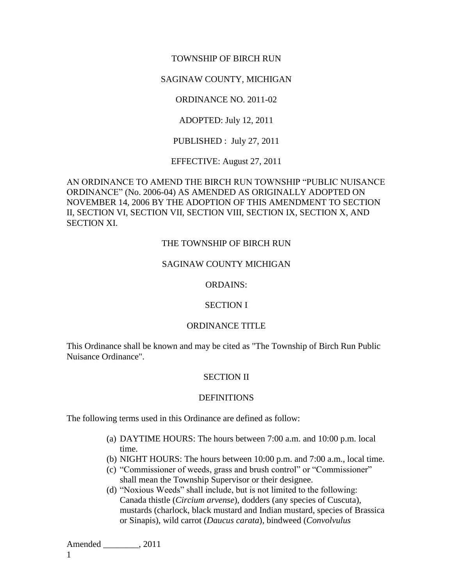### TOWNSHIP OF BIRCH RUN

### SAGINAW COUNTY, MICHIGAN

ORDINANCE NO. 2011-02

ADOPTED: July 12, 2011

PUBLISHED : July 27, 2011

EFFECTIVE: August 27, 2011

AN ORDINANCE TO AMEND THE BIRCH RUN TOWNSHIP "PUBLIC NUISANCE ORDINANCE" (No. 2006-04) AS AMENDED AS ORIGINALLY ADOPTED ON NOVEMBER 14, 2006 BY THE ADOPTION OF THIS AMENDMENT TO SECTION II, SECTION VI, SECTION VII, SECTION VIII, SECTION IX, SECTION X, AND SECTION XI.

#### THE TOWNSHIP OF BIRCH RUN

#### SAGINAW COUNTY MICHIGAN

#### ORDAINS:

#### SECTION I

### ORDINANCE TITLE

This Ordinance shall be known and may be cited as "The Township of Birch Run Public Nuisance Ordinance".

#### SECTION II

#### **DEFINITIONS**

The following terms used in this Ordinance are defined as follow:

- (a) DAYTIME HOURS: The hours between 7:00 a.m. and 10:00 p.m. local time.
- (b) NIGHT HOURS: The hours between 10:00 p.m. and 7:00 a.m., local time.
- (c) "Commissioner of weeds, grass and brush control" or "Commissioner" shall mean the Township Supervisor or their designee.
- (d) "Noxious Weeds" shall include, but is not limited to the following: Canada thistle (*Circium arvense*), dodders (any species of Cuscuta), mustards (charlock, black mustard and Indian mustard, species of Brassica or Sinapis), wild carrot (*Daucus carata*), bindweed (*Convolvulus*

Amended \_\_\_\_\_\_\_\_, 2011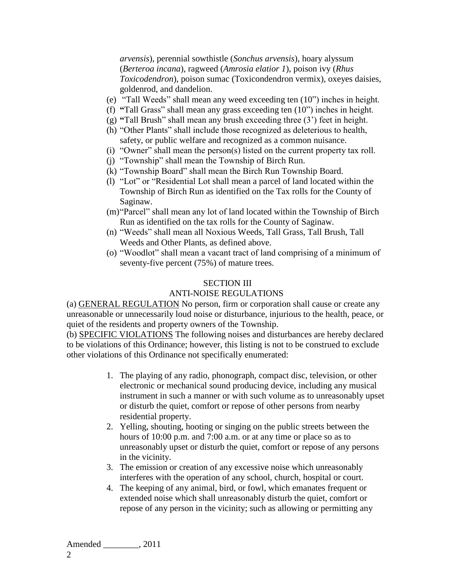*arvensis*), perennial sowthistle (*Sonchus arvensis*), hoary alyssum (*Berteroa incana*), ragweed (*Amrosia elatior 1*), poison ivy (*Rhus Toxicodendron*), poison sumac (Toxicondendron vermix), oxeyes daisies, goldenrod, and dandelion.

- (e) "Tall Weeds" shall mean any weed exceeding ten (10") inches in height.
- (f) **"**Tall Grass" shall mean any grass exceeding ten (10") inches in height.
- (g) **"**Tall Brush" shall mean any brush exceeding three (3') feet in height.
- (h) "Other Plants" shall include those recognized as deleterious to health, safety, or public welfare and recognized as a common nuisance.
- (i) "Owner" shall mean the person(s) listed on the current property tax roll.
- (j) "Township" shall mean the Township of Birch Run.
- (k) "Township Board" shall mean the Birch Run Township Board.
- (l) "Lot" or "Residential Lot shall mean a parcel of land located within the Township of Birch Run as identified on the Tax rolls for the County of Saginaw.
- (m)"Parcel" shall mean any lot of land located within the Township of Birch Run as identified on the tax rolls for the County of Saginaw.
- (n) "Weeds" shall mean all Noxious Weeds, Tall Grass, Tall Brush, Tall Weeds and Other Plants, as defined above.
- (o) "Woodlot" shall mean a vacant tract of land comprising of a minimum of seventy-five percent (75%) of mature trees.

## SECTION III

# ANTI-NOISE REGULATIONS

(a) GENERAL REGULATION No person, firm or corporation shall cause or create any unreasonable or unnecessarily loud noise or disturbance, injurious to the health, peace, or quiet of the residents and property owners of the Township.

(b) SPECIFIC VIOLATIONS The following noises and disturbances are hereby declared to be violations of this Ordinance; however, this listing is not to be construed to exclude other violations of this Ordinance not specifically enumerated:

- 1. The playing of any radio, phonograph, compact disc, television, or other electronic or mechanical sound producing device, including any musical instrument in such a manner or with such volume as to unreasonably upset or disturb the quiet, comfort or repose of other persons from nearby residential property.
- 2. Yelling, shouting, hooting or singing on the public streets between the hours of 10:00 p.m. and 7:00 a.m. or at any time or place so as to unreasonably upset or disturb the quiet, comfort or repose of any persons in the vicinity.
- 3. The emission or creation of any excessive noise which unreasonably interferes with the operation of any school, church, hospital or court.
- 4. The keeping of any animal, bird, or fowl, which emanates frequent or extended noise which shall unreasonably disturb the quiet, comfort or repose of any person in the vicinity; such as allowing or permitting any

Amended  $, 2011$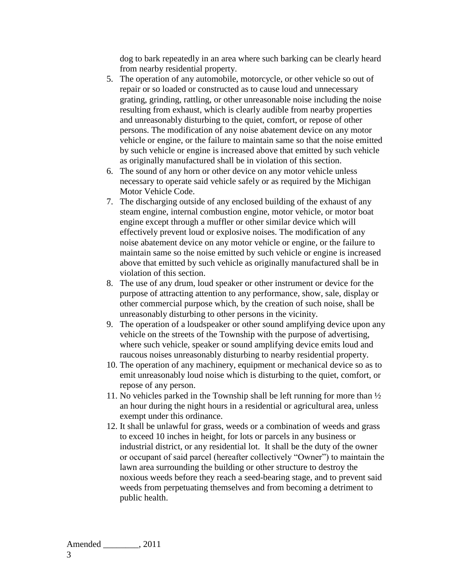dog to bark repeatedly in an area where such barking can be clearly heard from nearby residential property.

- 5. The operation of any automobile, motorcycle, or other vehicle so out of repair or so loaded or constructed as to cause loud and unnecessary grating, grinding, rattling, or other unreasonable noise including the noise resulting from exhaust, which is clearly audible from nearby properties and unreasonably disturbing to the quiet, comfort, or repose of other persons. The modification of any noise abatement device on any motor vehicle or engine, or the failure to maintain same so that the noise emitted by such vehicle or engine is increased above that emitted by such vehicle as originally manufactured shall be in violation of this section.
- 6. The sound of any horn or other device on any motor vehicle unless necessary to operate said vehicle safely or as required by the Michigan Motor Vehicle Code.
- 7. The discharging outside of any enclosed building of the exhaust of any steam engine, internal combustion engine, motor vehicle, or motor boat engine except through a muffler or other similar device which will effectively prevent loud or explosive noises. The modification of any noise abatement device on any motor vehicle or engine, or the failure to maintain same so the noise emitted by such vehicle or engine is increased above that emitted by such vehicle as originally manufactured shall be in violation of this section.
- 8. The use of any drum, loud speaker or other instrument or device for the purpose of attracting attention to any performance, show, sale, display or other commercial purpose which, by the creation of such noise, shall be unreasonably disturbing to other persons in the vicinity.
- 9. The operation of a loudspeaker or other sound amplifying device upon any vehicle on the streets of the Township with the purpose of advertising, where such vehicle, speaker or sound amplifying device emits loud and raucous noises unreasonably disturbing to nearby residential property.
- 10. The operation of any machinery, equipment or mechanical device so as to emit unreasonably loud noise which is disturbing to the quiet, comfort, or repose of any person.
- 11. No vehicles parked in the Township shall be left running for more than ½ an hour during the night hours in a residential or agricultural area, unless exempt under this ordinance.
- 12. It shall be unlawful for grass, weeds or a combination of weeds and grass to exceed 10 inches in height, for lots or parcels in any business or industrial district, or any residential lot. It shall be the duty of the owner or occupant of said parcel (hereafter collectively "Owner") to maintain the lawn area surrounding the building or other structure to destroy the noxious weeds before they reach a seed-bearing stage, and to prevent said weeds from perpetuating themselves and from becoming a detriment to public health.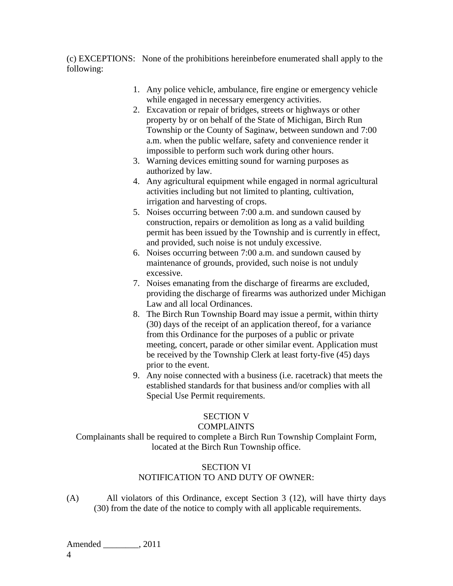(c) EXCEPTIONS: None of the prohibitions hereinbefore enumerated shall apply to the following:

- 1. Any police vehicle, ambulance, fire engine or emergency vehicle while engaged in necessary emergency activities.
- 2. Excavation or repair of bridges, streets or highways or other property by or on behalf of the State of Michigan, Birch Run Township or the County of Saginaw, between sundown and 7:00 a.m. when the public welfare, safety and convenience render it impossible to perform such work during other hours.
- 3. Warning devices emitting sound for warning purposes as authorized by law.
- 4. Any agricultural equipment while engaged in normal agricultural activities including but not limited to planting, cultivation, irrigation and harvesting of crops.
- 5. Noises occurring between 7:00 a.m. and sundown caused by construction, repairs or demolition as long as a valid building permit has been issued by the Township and is currently in effect, and provided, such noise is not unduly excessive.
- 6. Noises occurring between 7:00 a.m. and sundown caused by maintenance of grounds, provided, such noise is not unduly excessive.
- 7. Noises emanating from the discharge of firearms are excluded, providing the discharge of firearms was authorized under Michigan Law and all local Ordinances.
- 8. The Birch Run Township Board may issue a permit, within thirty (30) days of the receipt of an application thereof, for a variance from this Ordinance for the purposes of a public or private meeting, concert, parade or other similar event. Application must be received by the Township Clerk at least forty-five (45) days prior to the event.
- 9. Any noise connected with a business (i.e. racetrack) that meets the established standards for that business and/or complies with all Special Use Permit requirements.

# SECTION V

## COMPLAINTS

Complainants shall be required to complete a Birch Run Township Complaint Form, located at the Birch Run Township office.

# SECTION VI

# NOTIFICATION TO AND DUTY OF OWNER:

(A) All violators of this Ordinance, except Section 3 (12), will have thirty days (30) from the date of the notice to comply with all applicable requirements.

Amended  $, 2011$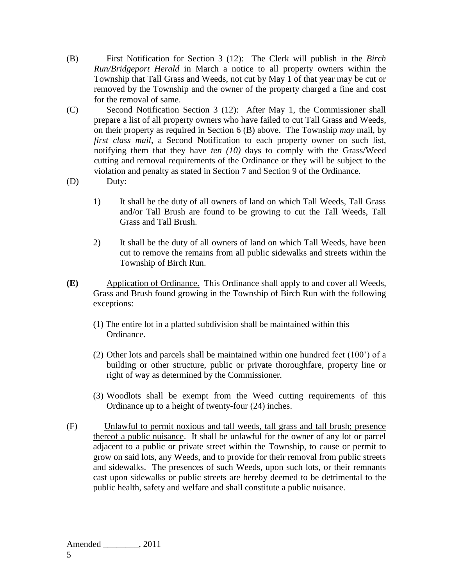- (B) First Notification for Section 3 (12): The Clerk will publish in the *Birch Run/Bridgeport Herald* in March a notice to all property owners within the Township that Tall Grass and Weeds, not cut by May 1 of that year may be cut or removed by the Township and the owner of the property charged a fine and cost for the removal of same.
- (C) Second Notification Section 3 (12): After May 1, the Commissioner shall prepare a list of all property owners who have failed to cut Tall Grass and Weeds, on their property as required in Section 6 (B) above. The Township *may* mail, by *first class mail*, a Second Notification to each property owner on such list, notifying them that they have *ten (10)* days to comply with the Grass/Weed cutting and removal requirements of the Ordinance or they will be subject to the violation and penalty as stated in Section 7 and Section 9 of the Ordinance.
- (D) Duty:
	- 1) It shall be the duty of all owners of land on which Tall Weeds, Tall Grass and/or Tall Brush are found to be growing to cut the Tall Weeds, Tall Grass and Tall Brush.
	- 2) It shall be the duty of all owners of land on which Tall Weeds, have been cut to remove the remains from all public sidewalks and streets within the Township of Birch Run.
- **(E)** Application of Ordinance. This Ordinance shall apply to and cover all Weeds, Grass and Brush found growing in the Township of Birch Run with the following exceptions:
	- (1) The entire lot in a platted subdivision shall be maintained within this Ordinance.
	- (2) Other lots and parcels shall be maintained within one hundred feet (100') of a building or other structure, public or private thoroughfare, property line or right of way as determined by the Commissioner.
	- (3) Woodlots shall be exempt from the Weed cutting requirements of this Ordinance up to a height of twenty-four (24) inches.
- (F) Unlawful to permit noxious and tall weeds, tall grass and tall brush; presence thereof a public nuisance. It shall be unlawful for the owner of any lot or parcel adjacent to a public or private street within the Township, to cause or permit to grow on said lots, any Weeds, and to provide for their removal from public streets and sidewalks. The presences of such Weeds, upon such lots, or their remnants cast upon sidewalks or public streets are hereby deemed to be detrimental to the public health, safety and welfare and shall constitute a public nuisance.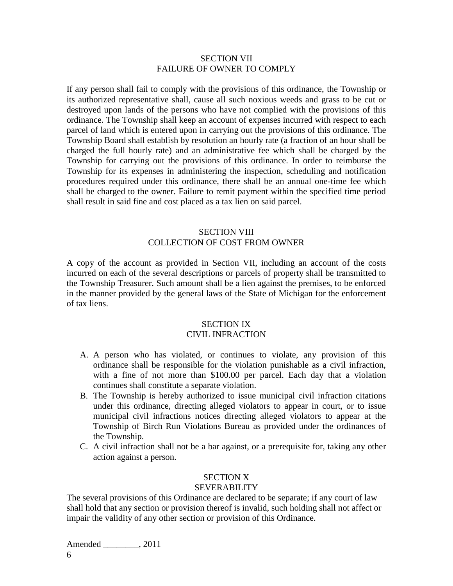### SECTION VII FAILURE OF OWNER TO COMPLY

If any person shall fail to comply with the provisions of this ordinance, the Township or its authorized representative shall, cause all such noxious weeds and grass to be cut or destroyed upon lands of the persons who have not complied with the provisions of this ordinance. The Township shall keep an account of expenses incurred with respect to each parcel of land which is entered upon in carrying out the provisions of this ordinance. The Township Board shall establish by resolution an hourly rate (a fraction of an hour shall be charged the full hourly rate) and an administrative fee which shall be charged by the Township for carrying out the provisions of this ordinance. In order to reimburse the Township for its expenses in administering the inspection, scheduling and notification procedures required under this ordinance, there shall be an annual one-time fee which shall be charged to the owner. Failure to remit payment within the specified time period shall result in said fine and cost placed as a tax lien on said parcel.

## SECTION VIII COLLECTION OF COST FROM OWNER

A copy of the account as provided in Section VII, including an account of the costs incurred on each of the several descriptions or parcels of property shall be transmitted to the Township Treasurer. Such amount shall be a lien against the premises, to be enforced in the manner provided by the general laws of the State of Michigan for the enforcement of tax liens.

# SECTION IX

## CIVIL INFRACTION

- A. A person who has violated, or continues to violate, any provision of this ordinance shall be responsible for the violation punishable as a civil infraction, with a fine of not more than \$100.00 per parcel. Each day that a violation continues shall constitute a separate violation.
- B. The Township is hereby authorized to issue municipal civil infraction citations under this ordinance, directing alleged violators to appear in court, or to issue municipal civil infractions notices directing alleged violators to appear at the Township of Birch Run Violations Bureau as provided under the ordinances of the Township.
- C. A civil infraction shall not be a bar against, or a prerequisite for, taking any other action against a person.

# SECTION X

# SEVERABILITY

The several provisions of this Ordinance are declared to be separate; if any court of law shall hold that any section or provision thereof is invalid, such holding shall not affect or impair the validity of any other section or provision of this Ordinance.

Amended  $, 2011$